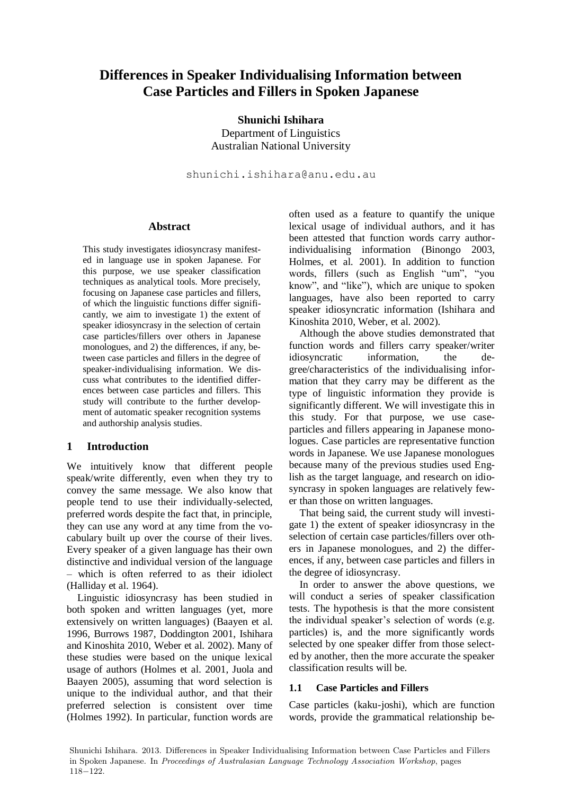# **Differences in Speaker Individualising Information between Case Particles and Fillers in Spoken Japanese**

**Shunichi Ishihara** Department of Linguistics Australian National University

shunichi.ishihara@anu.edu.au

#### **Abstract**

This study investigates idiosyncrasy manifested in language use in spoken Japanese. For this purpose, we use speaker classification techniques as analytical tools. More precisely, focusing on Japanese case particles and fillers, of which the linguistic functions differ significantly, we aim to investigate 1) the extent of speaker idiosyncrasy in the selection of certain case particles/fillers over others in Japanese monologues, and 2) the differences, if any, between case particles and fillers in the degree of speaker-individualising information. We discuss what contributes to the identified differences between case particles and fillers. This study will contribute to the further development of automatic speaker recognition systems and authorship analysis studies.

# **1 Introduction**

We intuitively know that different people speak/write differently, even when they try to convey the same message. We also know that people tend to use their individually-selected, preferred words despite the fact that, in principle, they can use any word at any time from the vocabulary built up over the course of their lives. Every speaker of a given language has their own distinctive and individual version of the language – which is often referred to as their idiolect (Halliday et al. 1964).

Linguistic idiosyncrasy has been studied in both spoken and written languages (yet, more extensively on written languages) (Baayen et al. 1996, Burrows 1987, Doddington 2001, Ishihara and Kinoshita 2010, Weber et al. 2002). Many of these studies were based on the unique lexical usage of authors (Holmes et al. 2001, Juola and Baayen 2005), assuming that word selection is unique to the individual author, and that their preferred selection is consistent over time (Holmes 1992). In particular, function words are

often used as a feature to quantify the unique lexical usage of individual authors, and it has been attested that function words carry authorindividualising information (Binongo 2003, Holmes, et al. 2001). In addition to function words, fillers (such as English "um", "you know", and "like"), which are unique to spoken languages, have also been reported to carry speaker idiosyncratic information (Ishihara and Kinoshita 2010, Weber, et al. 2002).

Although the above studies demonstrated that function words and fillers carry speaker/writer idiosyncratic information, the degree/characteristics of the individualising information that they carry may be different as the type of linguistic information they provide is significantly different. We will investigate this in this study. For that purpose, we use caseparticles and fillers appearing in Japanese monologues. Case particles are representative function words in Japanese. We use Japanese monologues because many of the previous studies used English as the target language, and research on idiosyncrasy in spoken languages are relatively fewer than those on written languages.

That being said, the current study will investigate 1) the extent of speaker idiosyncrasy in the selection of certain case particles/fillers over others in Japanese monologues, and 2) the differences, if any, between case particles and fillers in the degree of idiosyncrasy.

In order to answer the above questions, we will conduct a series of speaker classification tests. The hypothesis is that the more consistent the individual speaker's selection of words (e.g. particles) is, and the more significantly words selected by one speaker differ from those selected by another, then the more accurate the speaker classification results will be.

# **1.1 Case Particles and Fillers**

Case particles (kaku-joshi), which are function words, provide the grammatical relationship be-

Shunichi Ishihara. 2013. Differences in Speaker Individualising Information between Case Particles and Fillers in Spoken Japanese. In Proceedings of Australasian Language Technology Association Workshop, pages 118−122.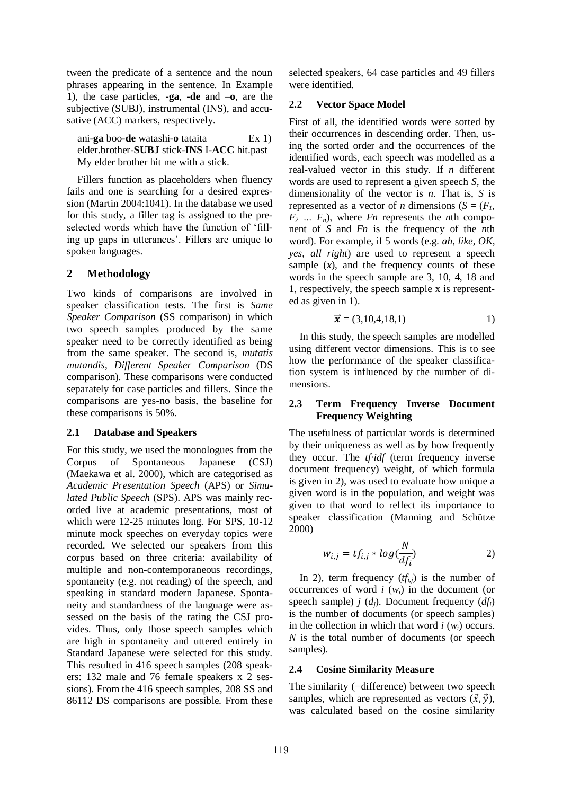tween the predicate of a sentence and the noun phrases appearing in the sentence. In Example 1), the case particles, -**ga**, -**de** and –**o**, are the subjective (SUBJ), instrumental (INS), and accusative (ACC) markers, respectively.

ani-**ga** boo-**de** watashi-**o** tataita Ex 1) elder.brother-**SUBJ** stick-**INS** I-**ACC** hit.past My elder brother hit me with a stick.

Fillers function as placeholders when fluency fails and one is searching for a desired expression (Martin 2004:1041). In the database we used for this study, a filler tag is assigned to the preselected words which have the function of 'filling up gaps in utterances'. Fillers are unique to spoken languages.

# **2 Methodology**

Two kinds of comparisons are involved in speaker classification tests. The first is *Same Speaker Comparison* (SS comparison) in which two speech samples produced by the same speaker need to be correctly identified as being from the same speaker. The second is, *mutatis mutandis*, *Different Speaker Comparison* (DS comparison). These comparisons were conducted separately for case particles and fillers. Since the comparisons are yes-no basis, the baseline for these comparisons is 50%.

# **2.1 Database and Speakers**

For this study, we used the monologues from the Corpus of Spontaneous Japanese (CSJ) (Maekawa et al. 2000), which are categorised as *Academic Presentation Speech* (APS) or *Simulated Public Speech* (SPS). APS was mainly recorded live at academic presentations, most of which were 12-25 minutes long. For SPS, 10-12 minute mock speeches on everyday topics were recorded. We selected our speakers from this corpus based on three criteria: availability of multiple and non-contemporaneous recordings, spontaneity (e.g. not reading) of the speech, and speaking in standard modern Japanese. Spontaneity and standardness of the language were assessed on the basis of the rating the CSJ provides. Thus, only those speech samples which are high in spontaneity and uttered entirely in Standard Japanese were selected for this study. This resulted in 416 speech samples (208 speakers: 132 male and 76 female speakers x 2 sessions). From the 416 speech samples, 208 SS and 86112 DS comparisons are possible. From these selected speakers, 64 case particles and 49 fillers were identified.

# **2.2 Vector Space Model**

First of all, the identified words were sorted by their occurrences in descending order. Then, using the sorted order and the occurrences of the identified words, each speech was modelled as a real-valued vector in this study. If *n* different words are used to represent a given speech *S*, the dimensionality of the vector is *n*. That is, *S* is represented as a vector of *n* dimensions ( $S = (F_1,$  $F_2$   $\ldots$   $F_n$ ), where *Fn* represents the *n*th component of *S* and *Fn* is the frequency of the *n*th word). For example, if 5 words (e.g. *ah*, *like*, *OK*, *yes*, *all right*) are used to represent a speech sample  $(x)$ , and the frequency counts of these words in the speech sample are 3, 10, 4, 18 and 1, respectively, the speech sample x is represented as given in 1).

$$
\vec{x} = (3, 10, 4, 18, 1) \tag{1}
$$

In this study, the speech samples are modelled using different vector dimensions. This is to see how the performance of the speaker classification system is influenced by the number of dimensions.

# **2.3 Term Frequency Inverse Document Frequency Weighting**

The usefulness of particular words is determined by their uniqueness as well as by how frequently they occur. The *tf·idf* (term frequency inverse document frequency) weight, of which formula is given in 2), was used to evaluate how unique a given word is in the population, and weight was given to that word to reflect its importance to speaker classification (Manning and Schütze 2000)

$$
w_{i,j} = tf_{i,j} * log(\frac{N}{df_i})
$$
 (2)

In 2), term frequency  $(f_i)$  is the number of occurrences of word  $i(w_i)$  in the document (or speech sample) *j* (*dj*). Document frequency (*dfi*) is the number of documents (or speech samples) in the collection in which that word *i* (*wi*) occurs. *N* is the total number of documents (or speech samples).

# **2.4 Cosine Similarity Measure**

The similarity (=difference) between two speech samples, which are represented as vectors  $(\vec{x}, \vec{y})$ , was calculated based on the cosine similarity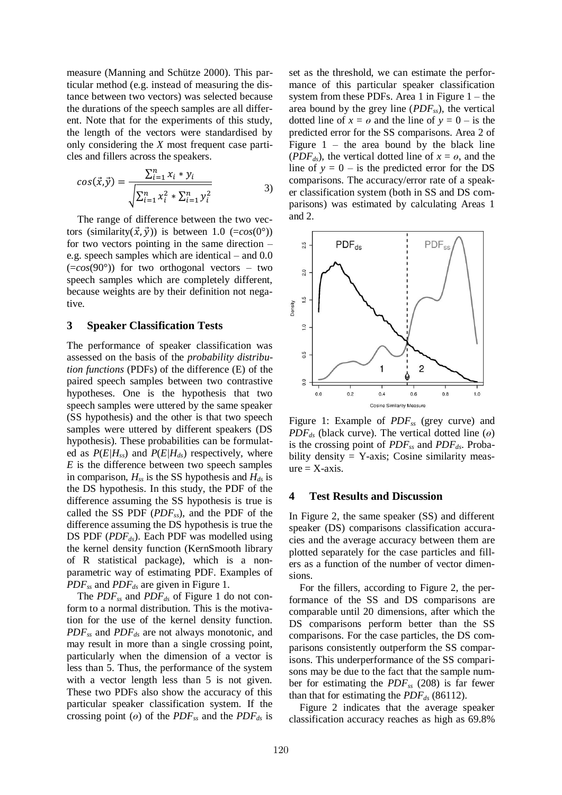measure (Manning and Schütze 2000). This particular method (e.g. instead of measuring the distance between two vectors) was selected because the durations of the speech samples are all different. Note that for the experiments of this study, the length of the vectors were standardised by only considering the *X* most frequent case particles and fillers across the speakers.

$$
cos(\vec{x}, \vec{y}) = \frac{\sum_{i=1}^{n} x_i * y_i}{\sqrt{\sum_{i=1}^{n} x_i^2 * \sum_{i=1}^{n} y_i^2}}
$$
 (3)

The range of difference between the two vectors (similarity( $\vec{x}$ , $\vec{y}$ )) is between 1.0 (=cos(0°)) for two vectors pointing in the same direction – e.g. speech samples which are identical – and 0.0 (=*cos*(90°)) for two orthogonal vectors – two speech samples which are completely different, because weights are by their definition not negative.

#### **3 Speaker Classification Tests**

The performance of speaker classification was assessed on the basis of the *probability distribution functions* (PDFs) of the difference (E) of the paired speech samples between two contrastive hypotheses. One is the hypothesis that two speech samples were uttered by the same speaker (SS hypothesis) and the other is that two speech samples were uttered by different speakers (DS hypothesis). These probabilities can be formulated as *P*(*E|Hss*) and *P*(*E|Hds*) respectively, where *E* is the difference between two speech samples in comparison, *Hss* is the SS hypothesis and *Hds* is the DS hypothesis. In this study, the PDF of the difference assuming the SS hypothesis is true is called the SS PDF (*PDFss*), and the PDF of the difference assuming the DS hypothesis is true the DS PDF (*PDFds*). Each PDF was modelled using the kernel density function (KernSmooth library of R statistical package), which is a nonparametric way of estimating PDF. Examples of *PDFss* and *PDFds* are given in Figure 1.

The *PDFss* and *PDFds* of Figure 1 do not conform to a normal distribution. This is the motivation for the use of the kernel density function. *PDFss* and *PDFds* are not always monotonic, and may result in more than a single crossing point, particularly when the dimension of a vector is less than 5. Thus, the performance of the system with a vector length less than 5 is not given. These two PDFs also show the accuracy of this particular speaker classification system. If the crossing point ( $\theta$ ) of the *PDF*<sub>*ss*</sub> and the *PDF*<sub>*ds*</sub> is

set as the threshold, we can estimate the performance of this particular speaker classification system from these PDFs. Area 1 in Figure  $1$  – the area bound by the grey line (*PDFss*), the vertical dotted line of  $x = \theta$  and the line of  $y = 0 -$  is the predicted error for the SS comparisons. Area 2 of Figure  $1 -$  the area bound by the black line (*PDF*<sub>ds</sub>), the vertical dotted line of  $x = \theta$ , and the line of  $y = 0 -$  is the predicted error for the DS comparisons. The accuracy/error rate of a speaker classification system (both in SS and DS comparisons) was estimated by calculating Areas 1 and 2.



Figure 1: Example of *PDFss* (grey curve) and  $PDF_{ds}$  (black curve). The vertical dotted line  $(\theta)$ is the crossing point of *PDFss* and *PDFds*. Probability density  $=$  Y-axis; Cosine similarity meas $ure = X-axis$ .

#### **4 Test Results and Discussion**

In Figure 2, the same speaker (SS) and different speaker (DS) comparisons classification accuracies and the average accuracy between them are plotted separately for the case particles and fillers as a function of the number of vector dimensions.

For the fillers, according to Figure 2, the performance of the SS and DS comparisons are comparable until 20 dimensions, after which the DS comparisons perform better than the SS comparisons. For the case particles, the DS comparisons consistently outperform the SS comparisons. This underperformance of the SS comparisons may be due to the fact that the sample number for estimating the *PDFss* (208) is far fewer than that for estimating the *PDFds* (86112).

Figure 2 indicates that the average speaker classification accuracy reaches as high as 69.8%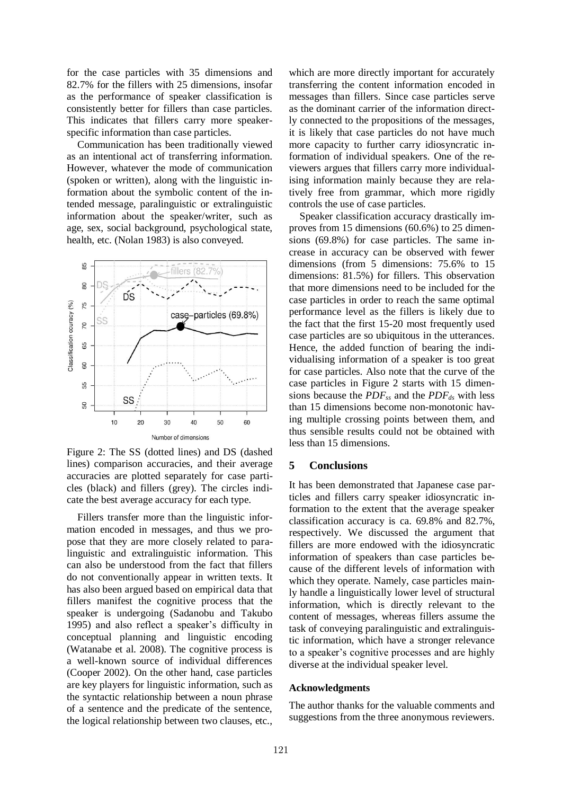for the case particles with 35 dimensions and 82.7% for the fillers with 25 dimensions, insofar as the performance of speaker classification is consistently better for fillers than case particles. This indicates that fillers carry more speakerspecific information than case particles.

Communication has been traditionally viewed as an intentional act of transferring information. However, whatever the mode of communication (spoken or written), along with the linguistic information about the symbolic content of the intended message, paralinguistic or extralinguistic information about the speaker/writer, such as age, sex, social background, psychological state, health, etc. (Nolan 1983) is also conveyed.



Figure 2: The SS (dotted lines) and DS (dashed lines) comparison accuracies, and their average accuracies are plotted separately for case particles (black) and fillers (grey). The circles indicate the best average accuracy for each type.

Fillers transfer more than the linguistic information encoded in messages, and thus we propose that they are more closely related to paralinguistic and extralinguistic information. This can also be understood from the fact that fillers do not conventionally appear in written texts. It has also been argued based on empirical data that fillers manifest the cognitive process that the speaker is undergoing (Sadanobu and Takubo 1995) and also reflect a speaker's difficulty in conceptual planning and linguistic encoding (Watanabe et al. 2008). The cognitive process is a well-known source of individual differences (Cooper 2002). On the other hand, case particles are key players for linguistic information, such as the syntactic relationship between a noun phrase of a sentence and the predicate of the sentence, the logical relationship between two clauses, etc.,

which are more directly important for accurately transferring the content information encoded in messages than fillers. Since case particles serve as the dominant carrier of the information directly connected to the propositions of the messages, it is likely that case particles do not have much more capacity to further carry idiosyncratic information of individual speakers. One of the reviewers argues that fillers carry more individualising information mainly because they are relatively free from grammar, which more rigidly controls the use of case particles.

Speaker classification accuracy drastically improves from 15 dimensions (60.6%) to 25 dimensions (69.8%) for case particles. The same increase in accuracy can be observed with fewer dimensions (from 5 dimensions: 75.6% to 15 dimensions: 81.5%) for fillers. This observation that more dimensions need to be included for the case particles in order to reach the same optimal performance level as the fillers is likely due to the fact that the first 15-20 most frequently used case particles are so ubiquitous in the utterances. Hence, the added function of bearing the individualising information of a speaker is too great for case particles. Also note that the curve of the case particles in Figure 2 starts with 15 dimensions because the *PDFss* and the *PDFds* with less than 15 dimensions become non-monotonic having multiple crossing points between them, and thus sensible results could not be obtained with less than 15 dimensions.

#### **5 Conclusions**

It has been demonstrated that Japanese case particles and fillers carry speaker idiosyncratic information to the extent that the average speaker classification accuracy is ca. 69.8% and 82.7%, respectively. We discussed the argument that fillers are more endowed with the idiosyncratic information of speakers than case particles because of the different levels of information with which they operate. Namely, case particles mainly handle a linguistically lower level of structural information, which is directly relevant to the content of messages, whereas fillers assume the task of conveying paralinguistic and extralinguistic information, which have a stronger relevance to a speaker's cognitive processes and are highly diverse at the individual speaker level.

#### **Acknowledgments**

The author thanks for the valuable comments and suggestions from the three anonymous reviewers.